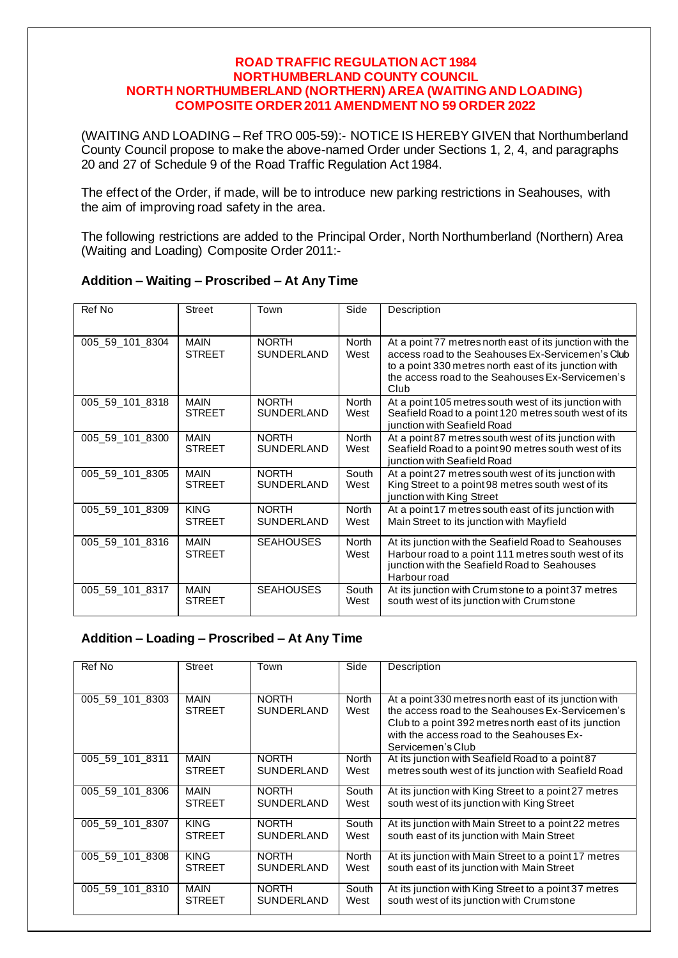#### **ROAD TRAFFIC REGULATION ACT 1984 NORTHUMBERLAND COUNTY COUNCIL NORTH NORTHUMBERLAND (NORTHERN) AREA (WAITING AND LOADING) COMPOSITE ORDER 2011 AMENDMENT NO 59 ORDER 2022**

(WAITING AND LOADING – Ref TRO 005-59):- NOTICE IS HEREBY GIVEN that Northumberland County Council propose to make the above-named Order under Sections 1, 2, 4, and paragraphs 20 and 27 of Schedule 9 of the Road Traffic Regulation Act 1984.

The effect of the Order, if made, will be to introduce new parking restrictions in Seahouses, with the aim of improving road safety in the area.

The following restrictions are added to the Principal Order, North Northumberland (Northern) Area (Waiting and Loading) Composite Order 2011:-

| Ref No          | <b>Street</b>                | Town                              | Side                 | Description                                                                                                                                                                                                                        |
|-----------------|------------------------------|-----------------------------------|----------------------|------------------------------------------------------------------------------------------------------------------------------------------------------------------------------------------------------------------------------------|
|                 |                              |                                   |                      |                                                                                                                                                                                                                                    |
| 005 59 101 8304 | <b>MAIN</b><br><b>STREET</b> | <b>NORTH</b><br><b>SUNDERLAND</b> | North<br>West        | At a point 77 metres north east of its junction with the<br>access road to the Seahouses Ex-Servicemen's Club<br>to a point 330 metres north east of its junction with<br>the access road to the Seahouses Ex-Servicemen's<br>Club |
| 005 59 101 8318 | <b>MAIN</b><br><b>STREET</b> | <b>NORTH</b><br><b>SUNDERLAND</b> | North<br>West        | At a point 105 metres south west of its junction with<br>Seafield Road to a point 120 metres south west of its<br>junction with Seafield Road                                                                                      |
| 005 59 101 8300 | <b>MAIN</b><br><b>STREET</b> | <b>NORTH</b><br><b>SUNDERLAND</b> | North<br>West        | At a point 87 metres south west of its junction with<br>Seafield Road to a point 90 metres south west of its<br>junction with Seafield Road                                                                                        |
| 005_59_101_8305 | <b>MAIN</b><br><b>STREET</b> | <b>NORTH</b><br><b>SUNDERLAND</b> | South<br>West        | At a point 27 metres south west of its junction with<br>King Street to a point 98 metres south west of its<br>junction with King Street                                                                                            |
| 005 59 101 8309 | <b>KING</b><br><b>STREET</b> | <b>NORTH</b><br>SUNDERLAND        | <b>North</b><br>West | At a point 17 metres south east of its junction with<br>Main Street to its junction with Mayfield                                                                                                                                  |
| 005 59 101 8316 | <b>MAIN</b><br><b>STREET</b> | <b>SEAHOUSES</b>                  | <b>North</b><br>West | At its junction with the Seafield Road to Seahouses<br>Harbour road to a point 111 metres south west of its<br>junction with the Seafield Road to Seahouses<br>Harbour road                                                        |
| 005_59_101_8317 | <b>MAIN</b><br><b>STREET</b> | <b>SEAHOUSES</b>                  | South<br>West        | At its junction with Crumstone to a point 37 metres<br>south west of its junction with Crumstone                                                                                                                                   |

### **Addition – Waiting – Proscribed – At Any Time**

# **Addition – Loading – Proscribed – At Any Time**

| Ref No          | <b>Street</b>                | Town                              | Side                 | Description                                                                                                                                                                                                                          |
|-----------------|------------------------------|-----------------------------------|----------------------|--------------------------------------------------------------------------------------------------------------------------------------------------------------------------------------------------------------------------------------|
| 005 59 101 8303 | <b>MAIN</b><br><b>STREET</b> | <b>NORTH</b><br><b>SUNDERLAND</b> | <b>North</b><br>West | At a point 330 metres north east of its junction with<br>the access road to the Seahouses Ex-Servicemen's<br>Club to a point 392 metres north east of its junction<br>with the access road to the Seahouses Ex-<br>Servicemen's Club |
| 005 59 101 8311 | <b>MAIN</b>                  | <b>NORTH</b>                      | <b>North</b>         | At its junction with Seafield Road to a point 87                                                                                                                                                                                     |
|                 | <b>STREET</b>                | <b>SUNDERLAND</b>                 | West                 | metres south west of its junction with Seafield Road                                                                                                                                                                                 |
| 005 59 101 8306 | <b>MAIN</b>                  | <b>NORTH</b>                      | South                | At its junction with King Street to a point 27 metres                                                                                                                                                                                |
|                 | <b>STREET</b>                | <b>SUNDERLAND</b>                 | West                 | south west of its junction with King Street                                                                                                                                                                                          |
| 005 59 101 8307 | <b>KING</b>                  | <b>NORTH</b>                      | South                | At its junction with Main Street to a point 22 metres                                                                                                                                                                                |
|                 | <b>STREET</b>                | <b>SUNDERLAND</b>                 | West                 | south east of its junction with Main Street                                                                                                                                                                                          |
| 005 59 101 8308 | <b>KING</b>                  | <b>NORTH</b>                      | <b>North</b>         | At its junction with Main Street to a point 17 metres                                                                                                                                                                                |
|                 | <b>STREET</b>                | <b>SUNDERLAND</b>                 | West                 | south east of its junction with Main Street                                                                                                                                                                                          |
| 005 59 101 8310 | <b>MAIN</b>                  | <b>NORTH</b>                      | South                | At its junction with King Street to a point 37 metres                                                                                                                                                                                |
|                 | <b>STREET</b>                | <b>SUNDERLAND</b>                 | West                 | south west of its junction with Crumstone                                                                                                                                                                                            |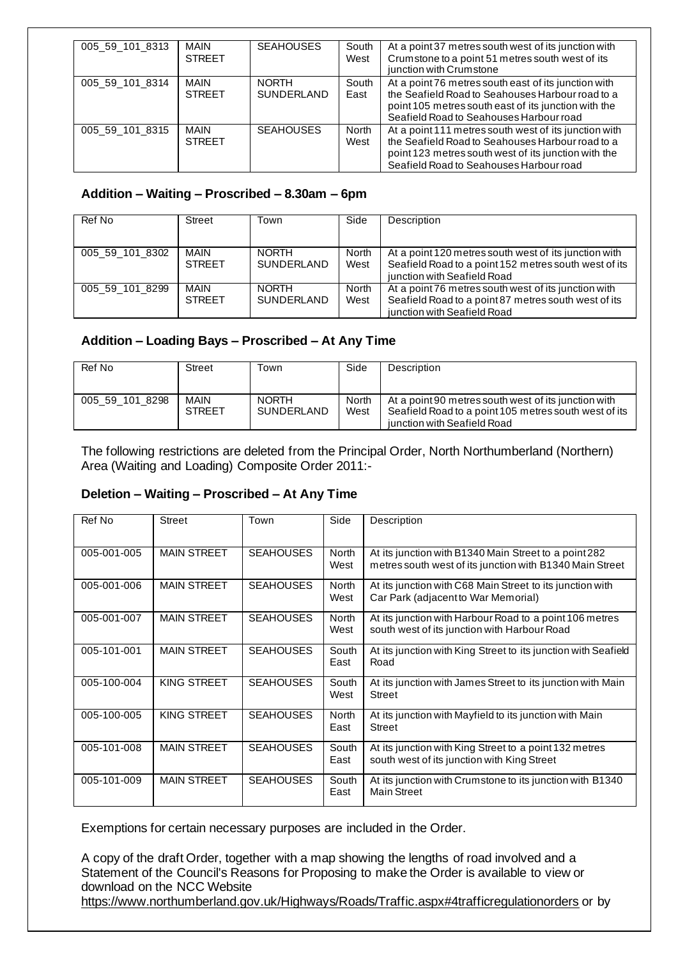| 005 59 101 8313 | <b>MAIN</b><br><b>STREET</b> | <b>SEAHOUSES</b>                  | South<br>West | At a point 37 metres south west of its junction with<br>Crumstone to a point 51 metres south west of its<br>junction with Crumstone                                                                          |
|-----------------|------------------------------|-----------------------------------|---------------|--------------------------------------------------------------------------------------------------------------------------------------------------------------------------------------------------------------|
| 005 59 101 8314 | MAIN<br><b>STREET</b>        | <b>NORTH</b><br><b>SUNDERLAND</b> | South<br>East | At a point 76 metres south east of its junction with<br>the Seafield Road to Seahouses Harbour road to a<br>point 105 metres south east of its junction with the<br>Seafield Road to Seahouses Harbour road  |
| 005 59 101 8315 | <b>MAIN</b><br><b>STREET</b> | <b>SEAHOUSES</b>                  | North<br>West | At a point 111 metres south west of its junction with<br>the Seafield Road to Seahouses Harbour road to a<br>point 123 metres south west of its junction with the<br>Seafield Road to Seahouses Harbour road |

### **Addition – Waiting – Proscribed – 8.30am – 6pm**

| Ref No          | Street                | Town                              | Side                 | Description                                                                                                                                   |
|-----------------|-----------------------|-----------------------------------|----------------------|-----------------------------------------------------------------------------------------------------------------------------------------------|
| 005 59 101 8302 | MAIN<br><b>STREET</b> | <b>NORTH</b><br><b>SUNDERLAND</b> | <b>North</b><br>West | At a point 120 metres south west of its junction with<br>Seafield Road to a point 152 metres south west of its<br>junction with Seafield Road |
| 005 59 101 8299 | MAIN<br><b>STREET</b> | <b>NORTH</b><br><b>SUNDERLAND</b> | <b>North</b><br>West | At a point 76 metres south west of its junction with<br>Seafield Road to a point 87 metres south west of its<br>junction with Seafield Road   |

### **Addition – Loading Bays – Proscribed – At Any Time**

| Ref No          | <b>Street</b>                | Town                              | Side          | Description                                                                                                                                  |
|-----------------|------------------------------|-----------------------------------|---------------|----------------------------------------------------------------------------------------------------------------------------------------------|
| 005 59 101 8298 | <b>MAIN</b><br><b>STREET</b> | <b>NORTH</b><br><b>SUNDERLAND</b> | North<br>West | At a point 90 metres south west of its junction with<br>Seafield Road to a point 105 metres south west of its<br>junction with Seafield Road |

The following restrictions are deleted from the Principal Order, North Northumberland (Northern) Area (Waiting and Loading) Composite Order 2011:-

## **Deletion – Waiting – Proscribed – At Any Time**

| Ref No      | Street             | Town             | Side                 | Description                                                                                                       |
|-------------|--------------------|------------------|----------------------|-------------------------------------------------------------------------------------------------------------------|
| 005-001-005 | <b>MAIN STREET</b> | <b>SEAHOUSES</b> | <b>North</b><br>West | At its junction with B1340 Main Street to a point 282<br>metres south west of its junction with B1340 Main Street |
| 005-001-006 | <b>MAIN STREET</b> | <b>SEAHOUSES</b> | <b>North</b><br>West | At its junction with C68 Main Street to its junction with<br>Car Park (adjacent to War Memorial)                  |
| 005-001-007 | <b>MAIN STREET</b> | <b>SEAHOUSES</b> | <b>North</b><br>West | At its junction with Harbour Road to a point 106 metres<br>south west of its junction with Harbour Road           |
| 005-101-001 | <b>MAIN STREET</b> | <b>SEAHOUSES</b> | South<br>East        | At its junction with King Street to its junction with Seafield<br>Road                                            |
| 005-100-004 | KING STREET        | <b>SEAHOUSES</b> | South<br>West        | At its junction with James Street to its junction with Main<br><b>Street</b>                                      |
| 005-100-005 | KING STREET        | <b>SEAHOUSES</b> | North<br>East        | At its junction with Mayfield to its junction with Main<br><b>Street</b>                                          |
| 005-101-008 | <b>MAIN STREET</b> | <b>SEAHOUSES</b> | South<br>East        | At its junction with King Street to a point 132 metres<br>south west of its junction with King Street             |
| 005-101-009 | <b>MAIN STREET</b> | <b>SEAHOUSES</b> | South<br>East        | At its junction with Crumstone to its junction with B1340<br><b>Main Street</b>                                   |

Exemptions for certain necessary purposes are included in the Order.

A copy of the draft Order, together with a map showing the lengths of road involved and a Statement of the Council's Reasons for Proposing to make the Order is available to view or download on the NCC Website https://www.northumberland.gov.uk/Highways/Roads/Traffic.aspx#4trafficregulationorders or by